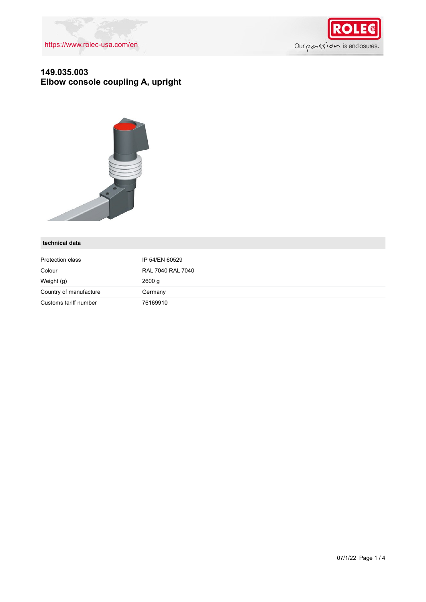



## **149.035.003 Elbow console coupling A, upright**



#### **technical data**

| Protection class       | IP 54/EN 60529    |
|------------------------|-------------------|
| Colour                 | RAL 7040 RAL 7040 |
| Weight (g)             | 2600 g            |
| Country of manufacture | Germany           |
| Customs tariff number  | 76169910          |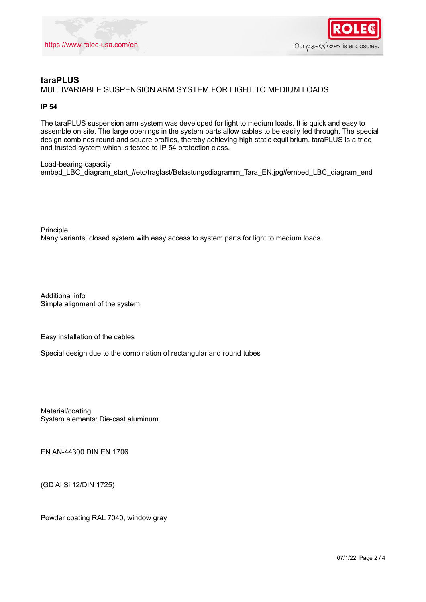

## **taraPLUS**

```
MULTIVARIABLE SUSPENSION ARM SYSTEM FOR LIGHT TO MEDIUM LOADS
```
### **IP 54**

The taraPLUS suspension arm system was developed for light to medium loads. It is quick and easy to assemble on site. The large openings in the system parts allow cables to be easily fed through. The special design combines round and square profiles, thereby achieving high static equilibrium. taraPLUS is a tried and trusted system which is tested to IP 54 protection class.

Load-bearing capacity embed\_LBC\_diagram\_start\_#etc/traglast/Belastungsdiagramm\_Tara\_EN.jpg#embed\_LBC\_diagram\_end

Principle Many variants, closed system with easy access to system parts for light to medium loads.

Additional info Simple alignment of the system

Easy installation of the cables

Special design due to the combination of rectangular and round tubes

Material/coating System elements: Die-cast aluminum

EN AN-44300 DIN EN 1706

(GD Al Si 12/DIN 1725)

Powder coating RAL 7040, window gray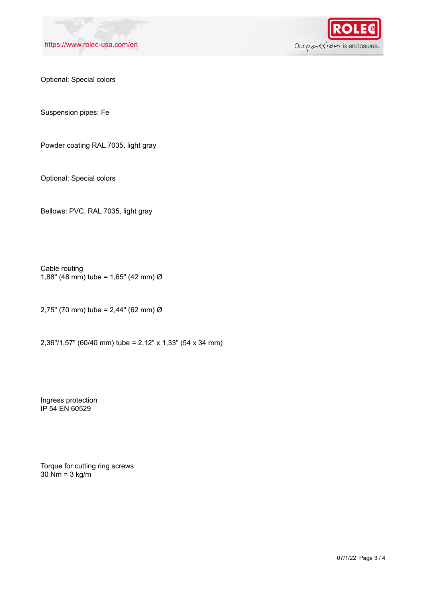



Optional: Special colors

Suspension pipes: Fe

Powder coating RAL 7035, light gray

Optional: Special colors

Bellows: PVC, RAL 7035, light gray

Cable routing 1,88" (48 mm) tube = 1,65" (42 mm) Ø

2,75" (70 mm) tube = 2,44" (62 mm) Ø

2,36"/1,57" (60/40 mm) tube = 2,12" x 1,33" (54 x 34 mm)

Ingress protection IP 54 EN 60529

Torque for cutting ring screws  $30$  Nm =  $3$  kg/m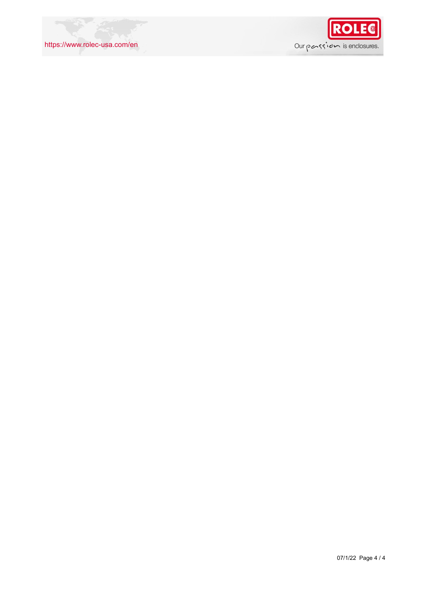